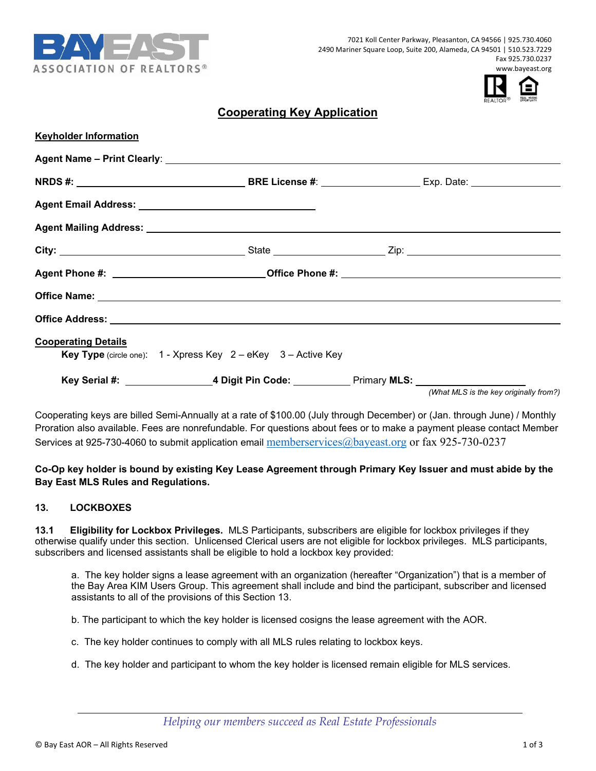



# **Cooperating Key Application**

| <b>Keyholder Information</b> |                                                                                                     |                                        |
|------------------------------|-----------------------------------------------------------------------------------------------------|----------------------------------------|
|                              |                                                                                                     |                                        |
|                              |                                                                                                     |                                        |
|                              |                                                                                                     |                                        |
|                              |                                                                                                     |                                        |
|                              |                                                                                                     |                                        |
|                              |                                                                                                     |                                        |
|                              |                                                                                                     |                                        |
|                              |                                                                                                     |                                        |
| <b>Cooperating Details</b>   |                                                                                                     |                                        |
|                              | <b>Key Type</b> (circle one): $1 - X$ press Key $2 - e$ Key $3 -$ Active Key                        |                                        |
|                              | Key Serial #: ___________________4 Digit Pin Code: ____________ Primary MLS: ______________________ | (What MLS is the key originally from?) |

Cooperating keys are billed Semi-Annually at a rate of \$100.00 (July through December) or (Jan. through June) / Monthly Proration also available. Fees are nonrefundable. For questions about fees or to make a payment please contact Member Services at 925-730-4060 to submit application email memberservices@bayeast.org or fax 925-730-0237

## **Co-Op key holder is bound by existing Key Lease Agreement through Primary Key Issuer and must abide by the Bay East MLS Rules and Regulations.**

#### **13. LOCKBOXES**

**13.1 Eligibility for Lockbox Privileges.** MLS Participants, subscribers are eligible for lockbox privileges if they otherwise qualify under this section. Unlicensed Clerical users are not eligible for lockbox privileges. MLS participants, subscribers and licensed assistants shall be eligible to hold a lockbox key provided:

 a. The key holder signs a lease agreement with an organization (hereafter "Organization") that is a member of the Bay Area KIM Users Group. This agreement shall include and bind the participant, subscriber and licensed assistants to all of the provisions of this Section 13.

b. The participant to which the key holder is licensed cosigns the lease agreement with the AOR.

c. The key holder continues to comply with all MLS rules relating to lockbox keys.

d. The key holder and participant to whom the key holder is licensed remain eligible for MLS services.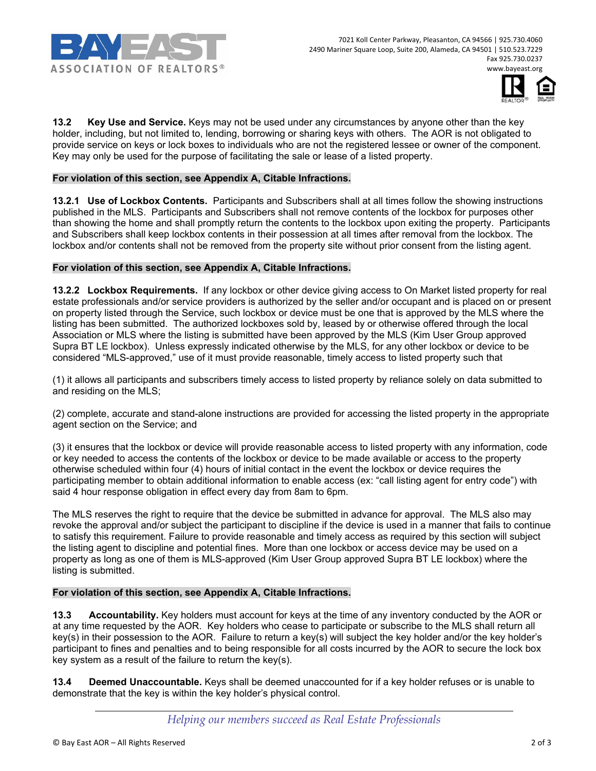



**13.2 Key Use and Service.** Keys may not be used under any circumstances by anyone other than the key holder, including, but not limited to, lending, borrowing or sharing keys with others. The AOR is not obligated to provide service on keys or lock boxes to individuals who are not the registered lessee or owner of the component. Key may only be used for the purpose of facilitating the sale or lease of a listed property.

### **For violation of this section, see Appendix A, Citable Infractions.**

**13.2.1 Use of Lockbox Contents.** Participants and Subscribers shall at all times follow the showing instructions published in the MLS. Participants and Subscribers shall not remove contents of the lockbox for purposes other than showing the home and shall promptly return the contents to the lockbox upon exiting the property. Participants and Subscribers shall keep lockbox contents in their possession at all times after removal from the lockbox. The lockbox and/or contents shall not be removed from the property site without prior consent from the listing agent.

### **For violation of this section, see Appendix A, Citable Infractions.**

**13.2.2 Lockbox Requirements.** If any lockbox or other device giving access to On Market listed property for real estate professionals and/or service providers is authorized by the seller and/or occupant and is placed on or present on property listed through the Service, such lockbox or device must be one that is approved by the MLS where the listing has been submitted. The authorized lockboxes sold by, leased by or otherwise offered through the local Association or MLS where the listing is submitted have been approved by the MLS (Kim User Group approved Supra BT LE lockbox). Unless expressly indicated otherwise by the MLS, for any other lockbox or device to be considered "MLS-approved," use of it must provide reasonable, timely access to listed property such that

(1) it allows all participants and subscribers timely access to listed property by reliance solely on data submitted to and residing on the MLS;

(2) complete, accurate and stand-alone instructions are provided for accessing the listed property in the appropriate agent section on the Service; and

(3) it ensures that the lockbox or device will provide reasonable access to listed property with any information, code or key needed to access the contents of the lockbox or device to be made available or access to the property otherwise scheduled within four (4) hours of initial contact in the event the lockbox or device requires the participating member to obtain additional information to enable access (ex: "call listing agent for entry code") with said 4 hour response obligation in effect every day from 8am to 6pm.

The MLS reserves the right to require that the device be submitted in advance for approval. The MLS also may revoke the approval and/or subject the participant to discipline if the device is used in a manner that fails to continue to satisfy this requirement. Failure to provide reasonable and timely access as required by this section will subject the listing agent to discipline and potential fines. More than one lockbox or access device may be used on a property as long as one of them is MLS-approved (Kim User Group approved Supra BT LE lockbox) where the listing is submitted.

### **For violation of this section, see Appendix A, Citable Infractions.**

**13.3 Accountability.** Key holders must account for keys at the time of any inventory conducted by the AOR or at any time requested by the AOR. Key holders who cease to participate or subscribe to the MLS shall return all key(s) in their possession to the AOR. Failure to return a key(s) will subject the key holder and/or the key holder's participant to fines and penalties and to being responsible for all costs incurred by the AOR to secure the lock box key system as a result of the failure to return the key(s).

**13.4 Deemed Unaccountable.** Keys shall be deemed unaccounted for if a key holder refuses or is unable to demonstrate that the key is within the key holder's physical control.